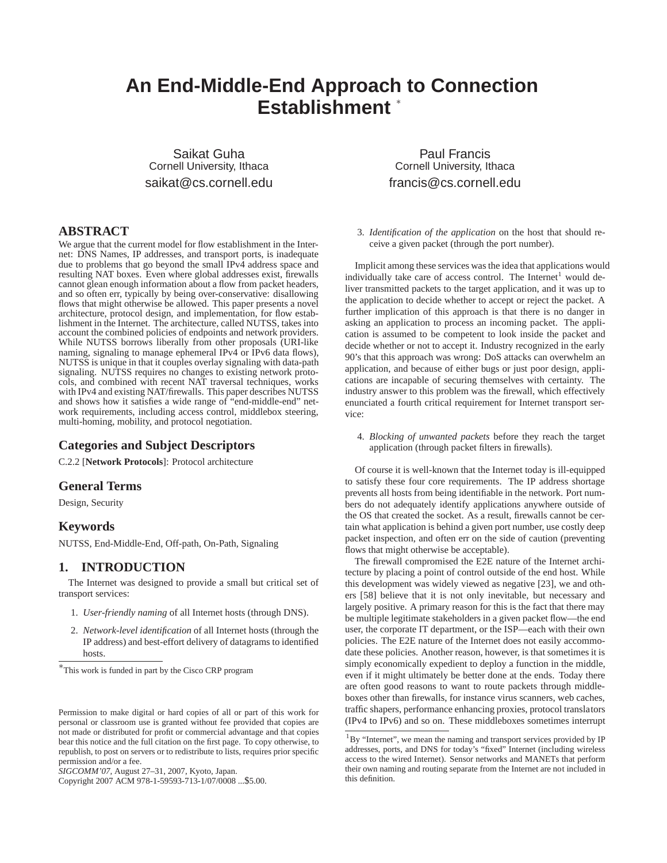# **An End-Middle-End Approach to Connection Establishment** <sup>∗</sup>

Saikat Guha Cornell University, Ithaca saikat@cs.cornell.edu

## **ABSTRACT**

We argue that the current model for flow establishment in the Internet: DNS Names, IP addresses, and transport ports, is inadequate due to problems that go beyond the small IPv4 address space and resulting NAT boxes. Even where global addresses exist, firewalls cannot glean enough information about a flow from packet headers, and so often err, typically by being over-conservative: disallowing flows that might otherwise be allowed. This paper presents a novel architecture, protocol design, and implementation, for flow establishment in the Internet. The architecture, called NUTSS, takes into account the combined policies of endpoints and network providers. While NUTSS borrows liberally from other proposals (URI-like naming, signaling to manage ephemeral IPv4 or IPv6 data flows), NUTSS is unique in that it couples overlay signaling with data-path signaling. NUTSS requires no changes to existing network protocols, and combined with recent NAT traversal techniques, works with IPv4 and existing NAT/firewalls. This paper describes NUTSS and shows how it satisfies a wide range of "end-middle-end" network requirements, including access control, middlebox steering, multi-homing, mobility, and protocol negotiation.

## **Categories and Subject Descriptors**

C.2.2 [**Network Protocols**]: Protocol architecture

## **General Terms**

Design, Security

## **Keywords**

NUTSS, End-Middle-End, Off-path, On-Path, Signaling

## **1. INTRODUCTION**

The Internet was designed to provide a small but critical set of transport services:

- 1. *User-friendly naming* of all Internet hosts (through DNS).
- 2. *Network-level identification* of all Internet hosts (through the IP address) and best-effort delivery of datagrams to identified hosts.

Paul Francis Cornell University, Ithaca francis@cs.cornell.edu

3. *Identification of the application* on the host that should receive a given packet (through the port number).

Implicit among these services was the idea that applications would individually take care of access control. The Internet<sup>1</sup> would deliver transmitted packets to the target application, and it was up to the application to decide whether to accept or reject the packet. A further implication of this approach is that there is no danger in asking an application to process an incoming packet. The application is assumed to be competent to look inside the packet and decide whether or not to accept it. Industry recognized in the early 90's that this approach was wrong: DoS attacks can overwhelm an application, and because of either bugs or just poor design, applications are incapable of securing themselves with certainty. The industry answer to this problem was the firewall, which effectively enunciated a fourth critical requirement for Internet transport service:

4. *Blocking of unwanted packets* before they reach the target application (through packet filters in firewalls).

Of course it is well-known that the Internet today is ill-equipped to satisfy these four core requirements. The IP address shortage prevents all hosts from being identifiable in the network. Port numbers do not adequately identify applications anywhere outside of the OS that created the socket. As a result, firewalls cannot be certain what application is behind a given port number, use costly deep packet inspection, and often err on the side of caution (preventing flows that might otherwise be acceptable).

The firewall compromised the E2E nature of the Internet architecture by placing a point of control outside of the end host. While this development was widely viewed as negative [23], we and others [58] believe that it is not only inevitable, but necessary and largely positive. A primary reason for this is the fact that there may be multiple legitimate stakeholders in a given packet flow—the end user, the corporate IT department, or the ISP—each with their own policies. The E2E nature of the Internet does not easily accommodate these policies. Another reason, however, is that sometimes it is simply economically expedient to deploy a function in the middle, even if it might ultimately be better done at the ends. Today there are often good reasons to want to route packets through middleboxes other than firewalls, for instance virus scanners, web caches, traffic shapers, performance enhancing proxies, protocol translators (IPv4 to IPv6) and so on. These middleboxes sometimes interrupt

<sup>∗</sup> This work is funded in part by the Cisco CRP program

Permission to make digital or hard copies of all or part of this work for personal or classroom use is granted without fee provided that copies are not made or distributed for profit or commercial advantage and that copies bear this notice and the full citation on the first page. To copy otherwise, to republish, to post on servers or to redistribute to lists, requires prior specific permission and/or a fee.

*SIGCOMM'07,* August 27–31, 2007, Kyoto, Japan.

Copyright 2007 ACM 978-1-59593-713-1/07/0008 ...\$5.00.

 ${}^{1}$ By "Internet", we mean the naming and transport services provided by IP addresses, ports, and DNS for today's "fixed" Internet (including wireless access to the wired Internet). Sensor networks and MANETs that perform their own naming and routing separate from the Internet are not included in this definition.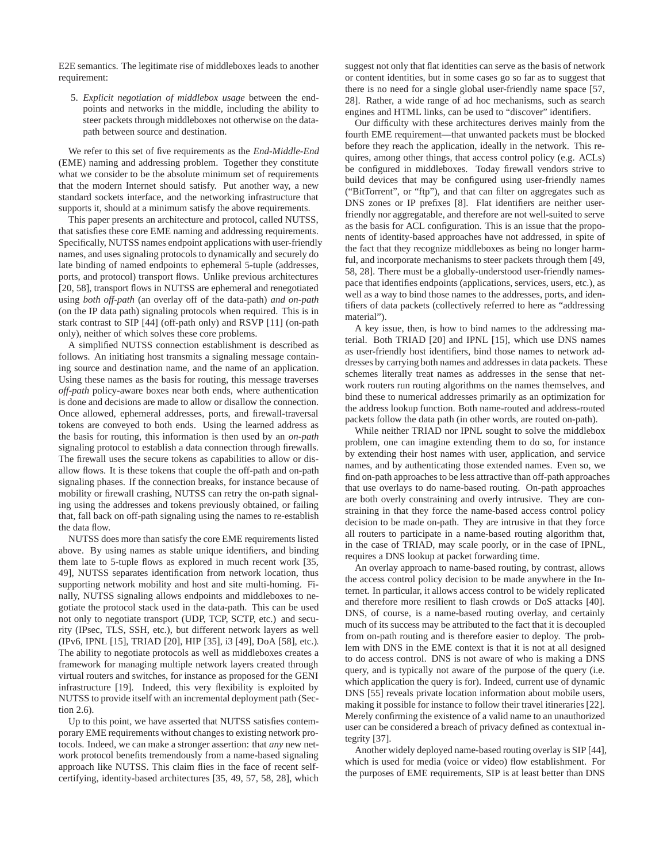E2E semantics. The legitimate rise of middleboxes leads to another requirement:

5. *Explicit negotiation of middlebox usage* between the endpoints and networks in the middle, including the ability to steer packets through middleboxes not otherwise on the datapath between source and destination.

We refer to this set of five requirements as the *End-Middle-End* (EME) naming and addressing problem. Together they constitute what we consider to be the absolute minimum set of requirements that the modern Internet should satisfy. Put another way, a new standard sockets interface, and the networking infrastructure that supports it, should at a minimum satisfy the above requirements.

This paper presents an architecture and protocol, called NUTSS, that satisfies these core EME naming and addressing requirements. Specifically, NUTSS names endpoint applications with user-friendly names, and uses signaling protocols to dynamically and securely do late binding of named endpoints to ephemeral 5-tuple (addresses, ports, and protocol) transport flows. Unlike previous architectures [20, 58], transport flows in NUTSS are ephemeral and renegotiated using *both off-path* (an overlay off of the data-path) *and on-path* (on the IP data path) signaling protocols when required. This is in stark contrast to SIP [44] (off-path only) and RSVP [11] (on-path only), neither of which solves these core problems.

A simplified NUTSS connection establishment is described as follows. An initiating host transmits a signaling message containing source and destination name, and the name of an application. Using these names as the basis for routing, this message traverses *off-path* policy-aware boxes near both ends, where authentication is done and decisions are made to allow or disallow the connection. Once allowed, ephemeral addresses, ports, and firewall-traversal tokens are conveyed to both ends. Using the learned address as the basis for routing, this information is then used by an *on-path* signaling protocol to establish a data connection through firewalls. The firewall uses the secure tokens as capabilities to allow or disallow flows. It is these tokens that couple the off-path and on-path signaling phases. If the connection breaks, for instance because of mobility or firewall crashing, NUTSS can retry the on-path signaling using the addresses and tokens previously obtained, or failing that, fall back on off-path signaling using the names to re-establish the data flow.

NUTSS does more than satisfy the core EME requirements listed above. By using names as stable unique identifiers, and binding them late to 5-tuple flows as explored in much recent work [35, 49], NUTSS separates identification from network location, thus supporting network mobility and host and site multi-homing. Finally, NUTSS signaling allows endpoints and middleboxes to negotiate the protocol stack used in the data-path. This can be used not only to negotiate transport (UDP, TCP, SCTP, etc.) and security (IPsec, TLS, SSH, etc.), but different network layers as well (IPv6, IPNL [15], TRIAD [20], HIP [35], i3 [49], DoA [58], etc.). The ability to negotiate protocols as well as middleboxes creates a framework for managing multiple network layers created through virtual routers and switches, for instance as proposed for the GENI infrastructure [19]. Indeed, this very flexibility is exploited by NUTSS to provide itself with an incremental deployment path (Section 2.6).

Up to this point, we have asserted that NUTSS satisfies contemporary EME requirements without changes to existing network protocols. Indeed, we can make a stronger assertion: that *any* new network protocol benefits tremendously from a name-based signaling approach like NUTSS. This claim flies in the face of recent selfcertifying, identity-based architectures [35, 49, 57, 58, 28], which suggest not only that flat identities can serve as the basis of network or content identities, but in some cases go so far as to suggest that there is no need for a single global user-friendly name space [57, 28]. Rather, a wide range of ad hoc mechanisms, such as search engines and HTML links, can be used to "discover" identifiers.

Our difficulty with these architectures derives mainly from the fourth EME requirement—that unwanted packets must be blocked before they reach the application, ideally in the network. This requires, among other things, that access control policy (e.g. ACLs) be configured in middleboxes. Today firewall vendors strive to build devices that may be configured using user-friendly names ("BitTorrent", or "ftp"), and that can filter on aggregates such as DNS zones or IP prefixes [8]. Flat identifiers are neither userfriendly nor aggregatable, and therefore are not well-suited to serve as the basis for ACL configuration. This is an issue that the proponents of identity-based approaches have not addressed, in spite of the fact that they recognize middleboxes as being no longer harmful, and incorporate mechanisms to steer packets through them [49, 58, 28]. There must be a globally-understood user-friendly namespace that identifies endpoints (applications, services, users, etc.), as well as a way to bind those names to the addresses, ports, and identifiers of data packets (collectively referred to here as "addressing material").

A key issue, then, is how to bind names to the addressing material. Both TRIAD [20] and IPNL [15], which use DNS names as user-friendly host identifiers, bind those names to network addresses by carrying both names and addresses in data packets. These schemes literally treat names as addresses in the sense that network routers run routing algorithms on the names themselves, and bind these to numerical addresses primarily as an optimization for the address lookup function. Both name-routed and address-routed packets follow the data path (in other words, are routed on-path).

While neither TRIAD nor IPNL sought to solve the middlebox problem, one can imagine extending them to do so, for instance by extending their host names with user, application, and service names, and by authenticating those extended names. Even so, we find on-path approaches to be less attractive than off-path approaches that use overlays to do name-based routing. On-path approaches are both overly constraining and overly intrusive. They are constraining in that they force the name-based access control policy decision to be made on-path. They are intrusive in that they force all routers to participate in a name-based routing algorithm that, in the case of TRIAD, may scale poorly, or in the case of IPNL, requires a DNS lookup at packet forwarding time.

An overlay approach to name-based routing, by contrast, allows the access control policy decision to be made anywhere in the Internet. In particular, it allows access control to be widely replicated and therefore more resilient to flash crowds or DoS attacks [40]. DNS, of course, is a name-based routing overlay, and certainly much of its success may be attributed to the fact that it is decoupled from on-path routing and is therefore easier to deploy. The problem with DNS in the EME context is that it is not at all designed to do access control. DNS is not aware of who is making a DNS query, and is typically not aware of the purpose of the query (i.e. which application the query is for). Indeed, current use of dynamic DNS [55] reveals private location information about mobile users, making it possible for instance to follow their travel itineraries [22]. Merely confirming the existence of a valid name to an unauthorized user can be considered a breach of privacy defined as contextual integrity [37].

Another widely deployed name-based routing overlay is SIP [44], which is used for media (voice or video) flow establishment. For the purposes of EME requirements, SIP is at least better than DNS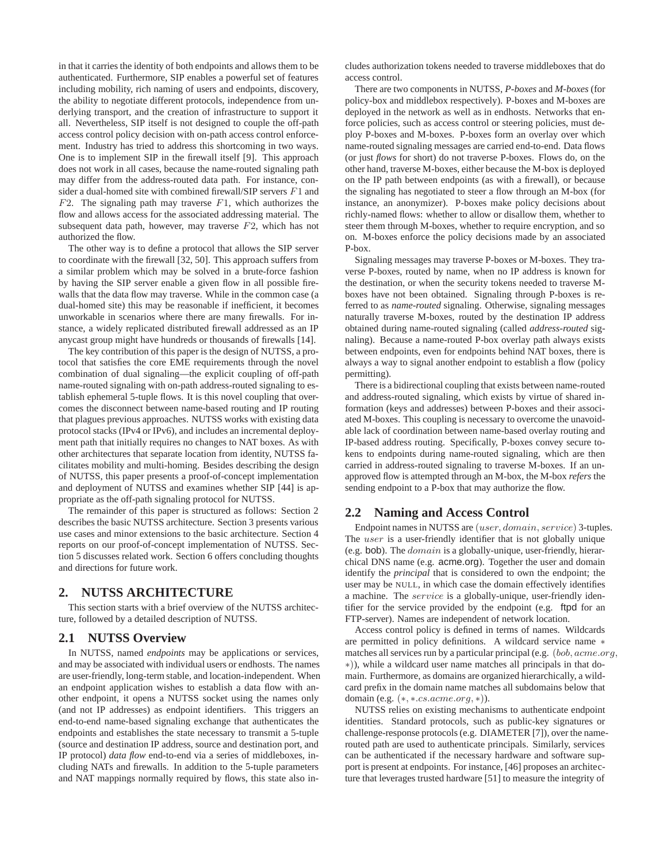in that it carries the identity of both endpoints and allows them to be authenticated. Furthermore, SIP enables a powerful set of features including mobility, rich naming of users and endpoints, discovery, the ability to negotiate different protocols, independence from underlying transport, and the creation of infrastructure to support it all. Nevertheless, SIP itself is not designed to couple the off-path access control policy decision with on-path access control enforcement. Industry has tried to address this shortcoming in two ways. One is to implement SIP in the firewall itself [9]. This approach does not work in all cases, because the name-routed signaling path may differ from the address-routed data path. For instance, consider a dual-homed site with combined firewall/SIP servers F1 and  $F2$ . The signaling path may traverse  $F1$ , which authorizes the flow and allows access for the associated addressing material. The subsequent data path, however, may traverse  $F2$ , which has not authorized the flow.

The other way is to define a protocol that allows the SIP server to coordinate with the firewall [32, 50]. This approach suffers from a similar problem which may be solved in a brute-force fashion by having the SIP server enable a given flow in all possible firewalls that the data flow may traverse. While in the common case (a dual-homed site) this may be reasonable if inefficient, it becomes unworkable in scenarios where there are many firewalls. For instance, a widely replicated distributed firewall addressed as an IP anycast group might have hundreds or thousands of firewalls [14].

The key contribution of this paper is the design of NUTSS, a protocol that satisfies the core EME requirements through the novel combination of dual signaling—the explicit coupling of off-path name-routed signaling with on-path address-routed signaling to establish ephemeral 5-tuple flows. It is this novel coupling that overcomes the disconnect between name-based routing and IP routing that plagues previous approaches. NUTSS works with existing data protocol stacks (IPv4 or IPv6), and includes an incremental deployment path that initially requires no changes to NAT boxes. As with other architectures that separate location from identity, NUTSS facilitates mobility and multi-homing. Besides describing the design of NUTSS, this paper presents a proof-of-concept implementation and deployment of NUTSS and examines whether SIP [44] is appropriate as the off-path signaling protocol for NUTSS.

The remainder of this paper is structured as follows: Section 2 describes the basic NUTSS architecture. Section 3 presents various use cases and minor extensions to the basic architecture. Section 4 reports on our proof-of-concept implementation of NUTSS. Section 5 discusses related work. Section 6 offers concluding thoughts and directions for future work.

# **2. NUTSS ARCHITECTURE**

This section starts with a brief overview of the NUTSS architecture, followed by a detailed description of NUTSS.

## **2.1 NUTSS Overview**

In NUTSS, named *endpoints* may be applications or services, and may be associated with individual users or endhosts. The names are user-friendly, long-term stable, and location-independent. When an endpoint application wishes to establish a data flow with another endpoint, it opens a NUTSS socket using the names only (and not IP addresses) as endpoint identifiers. This triggers an end-to-end name-based signaling exchange that authenticates the endpoints and establishes the state necessary to transmit a 5-tuple (source and destination IP address, source and destination port, and IP protocol) *data flow* end-to-end via a series of middleboxes, including NATs and firewalls. In addition to the 5-tuple parameters and NAT mappings normally required by flows, this state also includes authorization tokens needed to traverse middleboxes that do access control.

There are two components in NUTSS, *P-boxes* and *M-boxes* (for policy-box and middlebox respectively). P-boxes and M-boxes are deployed in the network as well as in endhosts. Networks that enforce policies, such as access control or steering policies, must deploy P-boxes and M-boxes. P-boxes form an overlay over which name-routed signaling messages are carried end-to-end. Data flows (or just *flows* for short) do not traverse P-boxes. Flows do, on the other hand, traverse M-boxes, either because the M-box is deployed on the IP path between endpoints (as with a firewall), or because the signaling has negotiated to steer a flow through an M-box (for instance, an anonymizer). P-boxes make policy decisions about richly-named flows: whether to allow or disallow them, whether to steer them through M-boxes, whether to require encryption, and so on. M-boxes enforce the policy decisions made by an associated P-box.

Signaling messages may traverse P-boxes or M-boxes. They traverse P-boxes, routed by name, when no IP address is known for the destination, or when the security tokens needed to traverse Mboxes have not been obtained. Signaling through P-boxes is referred to as *name-routed* signaling. Otherwise, signaling messages naturally traverse M-boxes, routed by the destination IP address obtained during name-routed signaling (called *address-routed* signaling). Because a name-routed P-box overlay path always exists between endpoints, even for endpoints behind NAT boxes, there is always a way to signal another endpoint to establish a flow (policy permitting).

There is a bidirectional coupling that exists between name-routed and address-routed signaling, which exists by virtue of shared information (keys and addresses) between P-boxes and their associated M-boxes. This coupling is necessary to overcome the unavoidable lack of coordination between name-based overlay routing and IP-based address routing. Specifically, P-boxes convey secure tokens to endpoints during name-routed signaling, which are then carried in address-routed signaling to traverse M-boxes. If an unapproved flow is attempted through an M-box, the M-box *refers* the sending endpoint to a P-box that may authorize the flow.

## **2.2 Naming and Access Control**

Endpoint names in NUTSS are (user, domain, service) 3-tuples. The user is a user-friendly identifier that is not globally unique (e.g. bob). The domain is a globally-unique, user-friendly, hierarchical DNS name (e.g. acme.org). Together the user and domain identify the *principal* that is considered to own the endpoint; the user may be NULL, in which case the domain effectively identifies a machine. The service is a globally-unique, user-friendly identifier for the service provided by the endpoint (e.g. ftpd for an FTP-server). Names are independent of network location.

Access control policy is defined in terms of names. Wildcards are permitted in policy definitions. A wildcard service name ∗ matches all services run by a particular principal (e.g. (bob, acme.org, ∗)), while a wildcard user name matches all principals in that domain. Furthermore, as domains are organized hierarchically, a wildcard prefix in the domain name matches all subdomains below that domain (e.g.  $(*,*.cs.acme.org, *)$ ).

NUTSS relies on existing mechanisms to authenticate endpoint identities. Standard protocols, such as public-key signatures or challenge-response protocols (e.g. DIAMETER [7]), over the namerouted path are used to authenticate principals. Similarly, services can be authenticated if the necessary hardware and software support is present at endpoints. For instance, [46] proposes an architecture that leverages trusted hardware [51] to measure the integrity of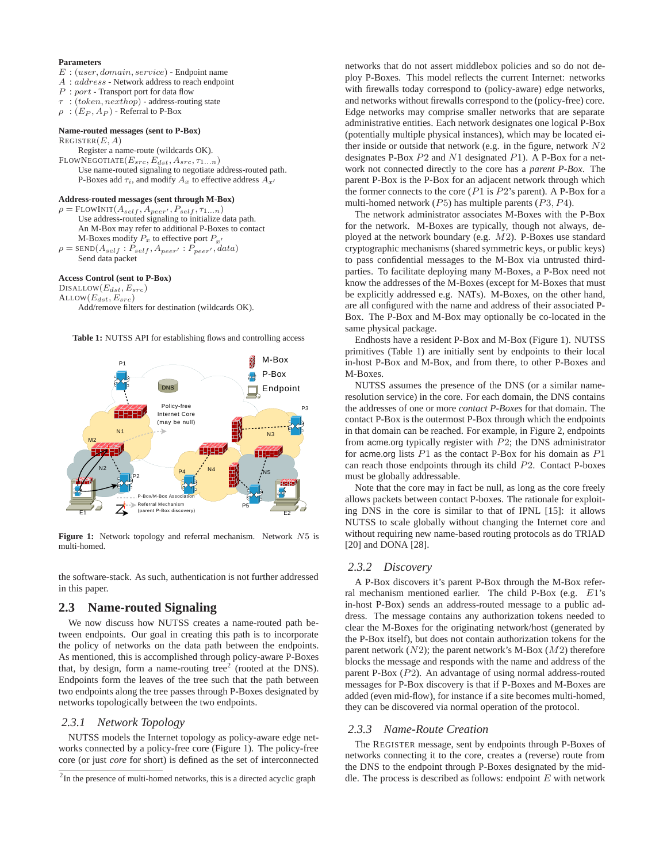#### **Parameters**

- E : (user, domain, service) Endpoint name
- A : address Network address to reach endpoint
- P : port Transport port for data flow
- $\tau$  : (token, nexthop) address-routing state
- $\rho$  :  $(E_P, A_P)$  Referral to P-Box

#### **Name-routed messages (sent to P-Box)**

 $REGISTER(E, A)$ Register a name-route (wildcards OK).  $FLOWNEGOTIATE(E_{src}, E_{dst}, A_{src}, \tau_{1...n})$ Use name-routed signaling to negotiate address-routed path. P-Boxes add  $\tau_i$ , and modify  $A_x$  to effective address  $A_{x'}$ 

#### **Address-routed messages (sent through M-Box)**

- $\rho = \text{FLOWINIT}(A_{self}, A_{peer'}, P_{self}, \tau_{1...n})$ Use address-routed signaling to initialize data path. An M-Box may refer to additional P-Boxes to contact M-Boxes modify  $P_x$  to effective port  $P_{x'}$
- $\rho =$  SEND $(A_{self} : P_{self}, A_{peer'} : P_{peer'}, data)$ Send data packet

#### **Access Control (sent to P-Box)**

 $\textsc{Disallow}(\mathcal{E}_{dst}, \mathcal{E}_{src})$ 

 $ALLOW(E_{dst}, E_{src})$ 

Add/remove filters for destination (wildcards OK).



**Table 1:** NUTSS API for establishing flows and controlling access

**Figure 1:** Network topology and referral mechanism. Network N5 is multi-homed.

the software-stack. As such, authentication is not further addressed in this paper.

## **2.3 Name-routed Signaling**

We now discuss how NUTSS creates a name-routed path between endpoints. Our goal in creating this path is to incorporate the policy of networks on the data path between the endpoints. As mentioned, this is accomplished through policy-aware P-Boxes that, by design, form a name-routing tree<sup>2</sup> (rooted at the DNS). Endpoints form the leaves of the tree such that the path between two endpoints along the tree passes through P-Boxes designated by networks topologically between the two endpoints.

#### *2.3.1 Network Topology*

NUTSS models the Internet topology as policy-aware edge networks connected by a policy-free core (Figure 1). The policy-free core (or just *core* for short) is defined as the set of interconnected networks that do not assert middlebox policies and so do not deploy P-Boxes. This model reflects the current Internet: networks with firewalls today correspond to (policy-aware) edge networks, and networks without firewalls correspond to the (policy-free) core. Edge networks may comprise smaller networks that are separate administrative entities. Each network designates one logical P-Box (potentially multiple physical instances), which may be located either inside or outside that network (e.g. in the figure, network  $N2$ designates P-Box  $P2$  and  $N1$  designated  $P1$ ). A P-Box for a network not connected directly to the core has a *parent P-Box*. The parent P-Box is the P-Box for an adjacent network through which the former connects to the core ( $P1$  is  $P2$ 's parent). A P-Box for a multi-homed network  $(P5)$  has multiple parents  $(P3, P4)$ .

The network administrator associates M-Boxes with the P-Box for the network. M-Boxes are typically, though not always, deployed at the network boundary (e.g. M2). P-Boxes use standard cryptographic mechanisms (shared symmetric keys, or public keys) to pass confidential messages to the M-Box via untrusted thirdparties. To facilitate deploying many M-Boxes, a P-Box need not know the addresses of the M-Boxes (except for M-Boxes that must be explicitly addressed e.g. NATs). M-Boxes, on the other hand, are all configured with the name and address of their associated P-Box. The P-Box and M-Box may optionally be co-located in the same physical package.

Endhosts have a resident P-Box and M-Box (Figure 1). NUTSS primitives (Table 1) are initially sent by endpoints to their local in-host P-Box and M-Box, and from there, to other P-Boxes and M-Boxes.

NUTSS assumes the presence of the DNS (or a similar nameresolution service) in the core. For each domain, the DNS contains the addresses of one or more *contact P-Boxes* for that domain. The contact P-Box is the outermost P-Box through which the endpoints in that domain can be reached. For example, in Figure 2, endpoints from acme.org typically register with P2; the DNS administrator for acme.org lists  $P1$  as the contact P-Box for his domain as  $P1$ can reach those endpoints through its child P2. Contact P-boxes must be globally addressable.

Note that the core may in fact be null, as long as the core freely allows packets between contact P-boxes. The rationale for exploiting DNS in the core is similar to that of IPNL [15]: it allows NUTSS to scale globally without changing the Internet core and without requiring new name-based routing protocols as do TRIAD [20] and DONA [28].

#### *2.3.2 Discovery*

A P-Box discovers it's parent P-Box through the M-Box referral mechanism mentioned earlier. The child P-Box (e.g. E1's in-host P-Box) sends an address-routed message to a public address. The message contains any authorization tokens needed to clear the M-Boxes for the originating network/host (generated by the P-Box itself), but does not contain authorization tokens for the parent network  $(N2)$ ; the parent network's M-Box  $(M2)$  therefore blocks the message and responds with the name and address of the parent P-Box (P2). An advantage of using normal address-routed messages for P-Box discovery is that if P-Boxes and M-Boxes are added (even mid-flow), for instance if a site becomes multi-homed, they can be discovered via normal operation of the protocol.

#### *2.3.3 Name-Route Creation*

The REGISTER message, sent by endpoints through P-Boxes of networks connecting it to the core, creates a (reverse) route from the DNS to the endpoint through P-Boxes designated by the middle. The process is described as follows: endpoint  $E$  with network

 $2$ In the presence of multi-homed networks, this is a directed acyclic graph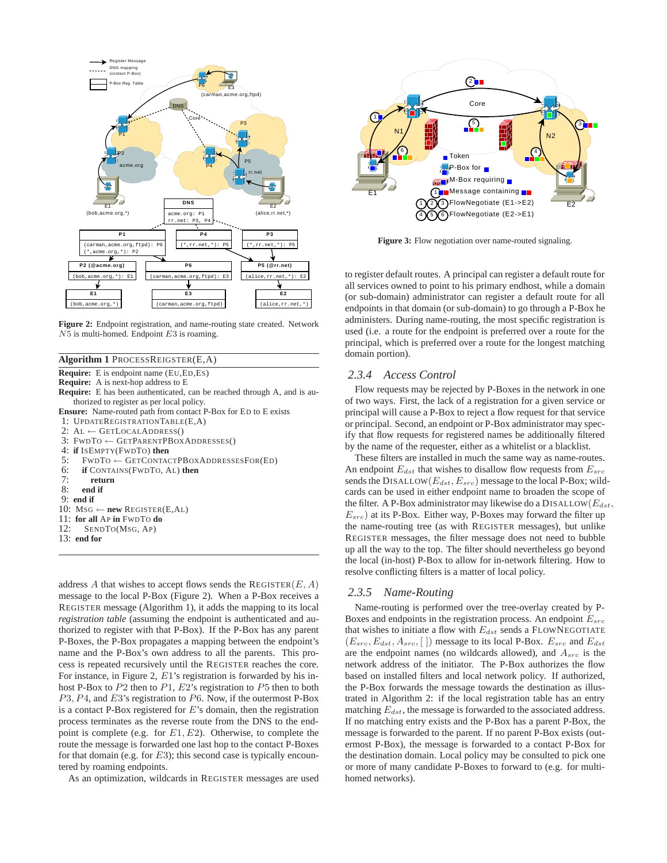

**Figure 2:** Endpoint registration, and name-routing state created. Network  $N5$  is multi-homed. Endpoint  $E3$  is roaming.

| Algorithm 1 PROCESSREIGSTER $(E, A)$            |
|-------------------------------------------------|
| <b>Require:</b> E is endpoint name (EU, ED, ES) |

**Require:** A is next-hop address to E

- **Require:** E has been authenticated, can be reached through A, and is authorized to register as per local policy.
- **Ensure:** Name-routed path from contact P-Box for ED to E exists
- 1: UPDATEREGISTRATIONTABLE(E,A)
- 2:  $AL \leftarrow GETLOCALADDRESS()$
- 3:  $FWDTO \leftarrow GETPARENTPBOXADDRESSES()$
- 4: **if** ISEMPTY(FWDTO) **then**<br>5: FWDTO  $\leftarrow$  GETCONTAC
- 5: FWDTO ← GETCONTACTPBOXADDRESSESFOR(ED)
- 6: **if** CONTAINS(FWDTO, AL) **then**
- 7: **return**
- 8: **end if**
- 9: **end if**
- 10:  $MSG \leftarrow new REGISTER(E, AL)$
- 11: **for all** AP **in** FWDTO **do**
- 12: SENDTO(MSG, AP)
- 13: **end for**

address A that wishes to accept flows sends the REGISTER $(E, A)$ message to the local P-Box (Figure 2). When a P-Box receives a REGISTER message (Algorithm 1), it adds the mapping to its local *registration table* (assuming the endpoint is authenticated and authorized to register with that P-Box). If the P-Box has any parent P-Boxes, the P-Box propagates a mapping between the endpoint's name and the P-Box's own address to all the parents. This process is repeated recursively until the REGISTER reaches the core. For instance, in Figure 2,  $E1$ 's registration is forwarded by his inhost P-Box to  $P2$  then to  $P1$ ,  $E2$ 's registration to  $P5$  then to both P3, P4, and E3's registration to P6. Now, if the outermost P-Box is a contact P-Box registered for  $E$ 's domain, then the registration process terminates as the reverse route from the DNS to the endpoint is complete (e.g. for  $E1, E2$ ). Otherwise, to complete the route the message is forwarded one last hop to the contact P-Boxes for that domain (e.g. for  $E3$ ); this second case is typically encountered by roaming endpoints.

As an optimization, wildcards in REGISTER messages are used



**Figure 3:** Flow negotiation over name-routed signaling.

to register default routes. A principal can register a default route for all services owned to point to his primary endhost, while a domain (or sub-domain) administrator can register a default route for all endpoints in that domain (or sub-domain) to go through a P-Box he administers. During name-routing, the most specific registration is used (i.e. a route for the endpoint is preferred over a route for the principal, which is preferred over a route for the longest matching domain portion).

### *2.3.4 Access Control*

Flow requests may be rejected by P-Boxes in the network in one of two ways. First, the lack of a registration for a given service or principal will cause a P-Box to reject a flow request for that service or principal. Second, an endpoint or P-Box administrator may specify that flow requests for registered names be additionally filtered by the name of the requester, either as a whitelist or a blacklist.

These filters are installed in much the same way as name-routes. An endpoint  $E_{dst}$  that wishes to disallow flow requests from  $E_{src}$ sends the DISALLOW $(E_{dst}, E_{src})$  message to the local P-Box; wildcards can be used in either endpoint name to broaden the scope of the filter. A P-Box administrator may likewise do a DISALLOW( $E_{dst}$ ,  $E_{src}$ ) at its P-Box. Either way, P-Boxes may forward the filter up the name-routing tree (as with REGISTER messages), but unlike REGISTER messages, the filter message does not need to bubble up all the way to the top. The filter should nevertheless go beyond the local (in-host) P-Box to allow for in-network filtering. How to resolve conflicting filters is a matter of local policy.

#### *2.3.5 Name-Routing*

Name-routing is performed over the tree-overlay created by P-Boxes and endpoints in the registration process. An endpoint  $E_{src}$ that wishes to initiate a flow with  $E_{dst}$  sends a FLOWNEGOTIATE  $(E_{src}, E_{dst}, A_{src}, [$ ]) message to its local P-Box.  $E_{src}$  and  $E_{dst}$ are the endpoint names (no wildcards allowed), and  $A_{src}$  is the network address of the initiator. The P-Box authorizes the flow based on installed filters and local network policy. If authorized, the P-Box forwards the message towards the destination as illustrated in Algorithm 2: if the local registration table has an entry matching  $E_{dst}$ , the message is forwarded to the associated address. If no matching entry exists and the P-Box has a parent P-Box, the message is forwarded to the parent. If no parent P-Box exists (outermost P-Box), the message is forwarded to a contact P-Box for the destination domain. Local policy may be consulted to pick one or more of many candidate P-Boxes to forward to (e.g. for multihomed networks).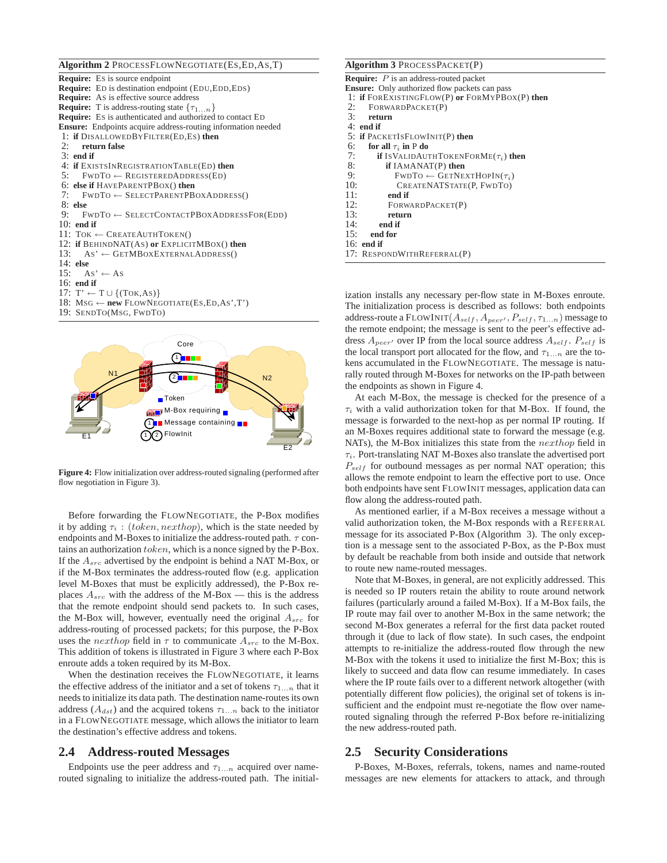**Algorithm 2** PROCESSFLOWNEGOTIATE(ES,ED,AS,T)

**Require:** ES is source endpoint **Require:** ED is destination endpoint (EDU,EDD,EDS) **Require:** AS is effective source address **Require:** T is address-routing state  $\{\tau_{1...n}\}$ **Require:** ES is authenticated and authorized to contact ED **Ensure:** Endpoints acquire address-routing information needed 1: **if** DISALLOWEDBYFILTER(ED,ES) **then** 2: **return false** 3: **end if** 4: **if** EXISTSINREGISTRATIONTABLE(ED) **then**  $FWDTO \leftarrow REGISTEREDADDRESS(ED)$ 6: **else if** HAVEPARENTPBOX() **then** 7:  $FWDTo \leftarrow SELECTPARENTPBoxADDRESS()$ 8: **else**  $FWDTo \leftarrow SELECTCONTACTPBOXADDRESSFOR(EDD)$ 10: **end if** 11: TOK  $\leftarrow$  CREATEAUTHTOKEN() 12: **if** BEHINDNAT(As) or EXPLICITMBOX() **then**<br>13: As'  $\leftarrow$  GETMBOXEXTERNALADDRESS()  $As' \leftarrow GETMBOXEXTERNALADDRESS()$ 14: **else**<br> $15 \cdot A$  $\text{As'} \leftarrow \text{As}$ 16: **end if** 17:  $T' \leftarrow T \cup \{ (TOK, AS) \}$ 18: MSG ← **new** FLOWNEGOTIATE(ES,ED,AS',T') 19: SENDTO(MSG, FWDTO)



**Figure 4:** Flow initialization over address-routed signaling (performed after flow negotiation in Figure 3).

Before forwarding the FLOWNEGOTIATE, the P-Box modifies it by adding  $\tau_i$ : (token, nexthop), which is the state needed by endpoints and M-Boxes to initialize the address-routed path.  $\tau$  contains an authorization token, which is a nonce signed by the P-Box. If the  $A_{src}$  advertised by the endpoint is behind a NAT M-Box, or if the M-Box terminates the address-routed flow (e.g. application level M-Boxes that must be explicitly addressed), the P-Box replaces  $A_{src}$  with the address of the M-Box — this is the address that the remote endpoint should send packets to. In such cases, the M-Box will, however, eventually need the original  $A_{src}$  for address-routing of processed packets; for this purpose, the P-Box uses the *nexthop* field in  $\tau$  to communicate  $A_{src}$  to the M-Box. This addition of tokens is illustrated in Figure 3 where each P-Box enroute adds a token required by its M-Box.

When the destination receives the FLOWNEGOTIATE, it learns the effective address of the initiator and a set of tokens  $\tau_{1...n}$  that it needs to initialize its data path. The destination name-routes its own address  $(A_{dst})$  and the acquired tokens  $\tau_{1...n}$  back to the initiator in a FLOWNEGOTIATE message, which allows the initiator to learn the destination's effective address and tokens.

#### **2.4 Address-routed Messages**

Endpoints use the peer address and  $\tau_{1...n}$  acquired over namerouted signaling to initialize the address-routed path. The initial-

#### **Algorithm 3** PROCESSPACKET(P)

| <b>Require:</b> $P$ is an address-routed packet       |  |  |  |  |
|-------------------------------------------------------|--|--|--|--|
| <b>Ensure:</b> Only authorized flow packets can pass  |  |  |  |  |
| 1: if FOREXISTINGFLOW(P) or FORMYPBOX(P) then         |  |  |  |  |
| 2: FORWARDPACKET(P)                                   |  |  |  |  |
| $3:$ return                                           |  |  |  |  |
| $4:$ end if                                           |  |  |  |  |
| 5: if PACKETISFLOWINIT(P) then                        |  |  |  |  |
| 6: for all $\tau_i$ in P do                           |  |  |  |  |
| 7:<br><b>if</b> ISVALIDAUTHTOKENFORME $(\tau_i)$ then |  |  |  |  |
| 8:<br>if $IAMANAT(P)$ then                            |  |  |  |  |
| 9:<br>$FWDTO \leftarrow GETNEXTHOPIN(\tau_i)$         |  |  |  |  |
| 10:<br>CREATENATSTATE(P, FWDTO)                       |  |  |  |  |
| 11:<br>end if                                         |  |  |  |  |
| 12:<br>FORWARDPACKET(P)                               |  |  |  |  |
| 13:<br>return                                         |  |  |  |  |
| 14:<br>end if                                         |  |  |  |  |
| $15:$ end for                                         |  |  |  |  |
| $16:$ end if                                          |  |  |  |  |

17: RESPONDWITHREFERRAL(P)

ization installs any necessary per-flow state in M-Boxes enroute. The initialization process is described as follows: both endpoints address-route a FLOWINIT $(A_{self}, A_{peer'}, P_{self}, \tau_{1...n})$  message to the remote endpoint; the message is sent to the peer's effective address  $A_{peer'}$  over IP from the local source address  $A_{self}$ .  $P_{self}$  is the local transport port allocated for the flow, and  $\tau_{1...n}$  are the tokens accumulated in the FLOWNEGOTIATE. The message is naturally routed through M-Boxes for networks on the IP-path between the endpoints as shown in Figure 4.

At each M-Box, the message is checked for the presence of a  $\tau_i$  with a valid authorization token for that M-Box. If found, the message is forwarded to the next-hop as per normal IP routing. If an M-Boxes requires additional state to forward the message (e.g. NATs), the M-Box initializes this state from the nexthop field in  $\tau_i$ . Port-translating NAT M-Boxes also translate the advertised port  $P_{self}$  for outbound messages as per normal NAT operation; this allows the remote endpoint to learn the effective port to use. Once both endpoints have sent FLOWINIT messages, application data can flow along the address-routed path.

As mentioned earlier, if a M-Box receives a message without a valid authorization token, the M-Box responds with a REFERRAL message for its associated P-Box (Algorithm 3). The only exception is a message sent to the associated P-Box, as the P-Box must by default be reachable from both inside and outside that network to route new name-routed messages.

Note that M-Boxes, in general, are not explicitly addressed. This is needed so IP routers retain the ability to route around network failures (particularly around a failed M-Box). If a M-Box fails, the IP route may fail over to another M-Box in the same network; the second M-Box generates a referral for the first data packet routed through it (due to lack of flow state). In such cases, the endpoint attempts to re-initialize the address-routed flow through the new M-Box with the tokens it used to initialize the first M-Box; this is likely to succeed and data flow can resume immediately. In cases where the IP route fails over to a different network altogether (with potentially different flow policies), the original set of tokens is insufficient and the endpoint must re-negotiate the flow over namerouted signaling through the referred P-Box before re-initializing the new address-routed path.

#### **2.5 Security Considerations**

P-Boxes, M-Boxes, referrals, tokens, names and name-routed messages are new elements for attackers to attack, and through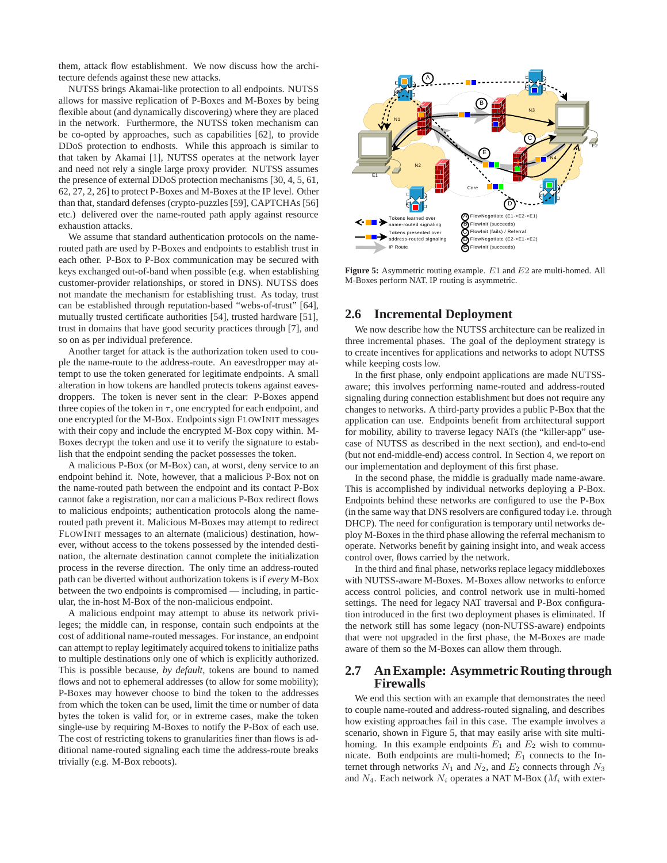them, attack flow establishment. We now discuss how the architecture defends against these new attacks.

NUTSS brings Akamai-like protection to all endpoints. NUTSS allows for massive replication of P-Boxes and M-Boxes by being flexible about (and dynamically discovering) where they are placed in the network. Furthermore, the NUTSS token mechanism can be co-opted by approaches, such as capabilities [62], to provide DDoS protection to endhosts. While this approach is similar to that taken by Akamai [1], NUTSS operates at the network layer and need not rely a single large proxy provider. NUTSS assumes the presence of external DDoS protection mechanisms [30, 4, 5, 61, 62, 27, 2, 26] to protect P-Boxes and M-Boxes at the IP level. Other than that, standard defenses (crypto-puzzles [59], CAPTCHAs [56] etc.) delivered over the name-routed path apply against resource exhaustion attacks.

We assume that standard authentication protocols on the namerouted path are used by P-Boxes and endpoints to establish trust in each other. P-Box to P-Box communication may be secured with keys exchanged out-of-band when possible (e.g. when establishing customer-provider relationships, or stored in DNS). NUTSS does not mandate the mechanism for establishing trust. As today, trust can be established through reputation-based "webs-of-trust" [64], mutually trusted certificate authorities [54], trusted hardware [51], trust in domains that have good security practices through [7], and so on as per individual preference.

Another target for attack is the authorization token used to couple the name-route to the address-route. An eavesdropper may attempt to use the token generated for legitimate endpoints. A small alteration in how tokens are handled protects tokens against eavesdroppers. The token is never sent in the clear: P-Boxes append three copies of the token in  $\tau$ , one encrypted for each endpoint, and one encrypted for the M-Box. Endpoints sign FLOWINIT messages with their copy and include the encrypted M-Box copy within. M-Boxes decrypt the token and use it to verify the signature to establish that the endpoint sending the packet possesses the token.

A malicious P-Box (or M-Box) can, at worst, deny service to an endpoint behind it. Note, however, that a malicious P-Box not on the name-routed path between the endpoint and its contact P-Box cannot fake a registration, nor can a malicious P-Box redirect flows to malicious endpoints; authentication protocols along the namerouted path prevent it. Malicious M-Boxes may attempt to redirect FLOWINIT messages to an alternate (malicious) destination, however, without access to the tokens possessed by the intended destination, the alternate destination cannot complete the initialization process in the reverse direction. The only time an address-routed path can be diverted without authorization tokens is if *every* M-Box between the two endpoints is compromised — including, in particular, the in-host M-Box of the non-malicious endpoint.

A malicious endpoint may attempt to abuse its network privileges; the middle can, in response, contain such endpoints at the cost of additional name-routed messages. For instance, an endpoint can attempt to replay legitimately acquired tokens to initialize paths to multiple destinations only one of which is explicitly authorized. This is possible because, *by default*, tokens are bound to named flows and not to ephemeral addresses (to allow for some mobility); P-Boxes may however choose to bind the token to the addresses from which the token can be used, limit the time or number of data bytes the token is valid for, or in extreme cases, make the token single-use by requiring M-Boxes to notify the P-Box of each use. The cost of restricting tokens to granularities finer than flows is additional name-routed signaling each time the address-route breaks trivially (e.g. M-Box reboots).



**Figure 5:** Asymmetric routing example. E1 and E2 are multi-homed. All M-Boxes perform NAT. IP routing is asymmetric.

## **2.6 Incremental Deployment**

We now describe how the NUTSS architecture can be realized in three incremental phases. The goal of the deployment strategy is to create incentives for applications and networks to adopt NUTSS while keeping costs low.

In the first phase, only endpoint applications are made NUTSSaware; this involves performing name-routed and address-routed signaling during connection establishment but does not require any changes to networks. A third-party provides a public P-Box that the application can use. Endpoints benefit from architectural support for mobility, ability to traverse legacy NATs (the "killer-app" usecase of NUTSS as described in the next section), and end-to-end (but not end-middle-end) access control. In Section 4, we report on our implementation and deployment of this first phase.

In the second phase, the middle is gradually made name-aware. This is accomplished by individual networks deploying a P-Box. Endpoints behind these networks are configured to use the P-Box (in the same way that DNS resolvers are configured today i.e. through DHCP). The need for configuration is temporary until networks deploy M-Boxes in the third phase allowing the referral mechanism to operate. Networks benefit by gaining insight into, and weak access control over, flows carried by the network.

In the third and final phase, networks replace legacy middleboxes with NUTSS-aware M-Boxes. M-Boxes allow networks to enforce access control policies, and control network use in multi-homed settings. The need for legacy NAT traversal and P-Box configuration introduced in the first two deployment phases is eliminated. If the network still has some legacy (non-NUTSS-aware) endpoints that were not upgraded in the first phase, the M-Boxes are made aware of them so the M-Boxes can allow them through.

# **2.7 An Example: Asymmetric Routing through Firewalls**

We end this section with an example that demonstrates the need to couple name-routed and address-routed signaling, and describes how existing approaches fail in this case. The example involves a scenario, shown in Figure 5, that may easily arise with site multihoming. In this example endpoints  $E_1$  and  $E_2$  wish to communicate. Both endpoints are multi-homed;  $E_1$  connects to the Internet through networks  $N_1$  and  $N_2$ , and  $E_2$  connects through  $N_3$ and  $N_4$ . Each network  $N_i$  operates a NAT M-Box ( $M_i$  with exter-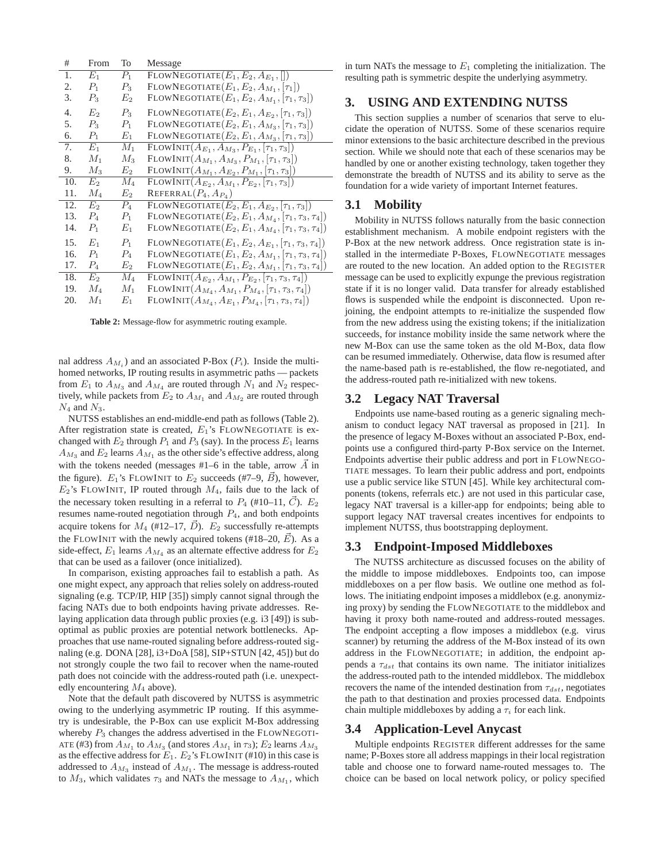| #   | From    | To                            | Message                                                          |
|-----|---------|-------------------------------|------------------------------------------------------------------|
| 1.  | $E_1$   | $P_1$                         | $\overline{\text{FLOWNEGOTIATE}}(E_1, E_2, A_{E_1}, []$          |
| 2.  | $P_1$   | $P_3$                         | FLOWNEGOTIATE $(E_1, E_2, A_{M_1},  \tau_1 )$                    |
| 3.  | $P_3$   | E <sub>2</sub>                | FLOWNEGOTIATE $(E_1, E_2, A_{M_1}, [\tau_1, \tau_3])$            |
| 4.  | $E_{2}$ | $P_3$                         | FLOWNEGOTIATE $(E_2, E_1, A_{E_2}, [\tau_1, \tau_3])$            |
| 5.  | $P_3$   | $P_1$                         | FLOWNEGOTIATE $(E_2, E_1, A_{M_3}, [\tau_1, \tau_3])$            |
| 6.  | $P_1$   | $E_1$                         | FLOWNEGOTIATE $(E_2, E_1, A_{M_3}, [\tau_1, \tau_3])$            |
| 7.  | $E_1$   | $M_1$                         | $FLOWINIT(A_{E_1}, A_{M_3}, P_{E_1}, [\tau_1, \tau_3])$          |
| 8.  | $M_1$   | $M_3$                         | FLOWINIT $(A_{M_1}, A_{M_3}, P_{M_1}, [\tau_1, \tau_3])$         |
| 9.  | $M_3$   | $E_2$                         | $FLOWINIT(A_{M_1}, A_{E_2}, P_{M_1}, [\tau_1, \tau_3])$          |
| 10. | $E_2$   | $M_{4}$                       | FLOWINIT $(A_{E_2}, A_{M_1}, P_{E_2}, [\tau_1, \tau_3])$         |
| 11. | $M_{4}$ | $E_2$                         | REFERRAL $(P_4, A_{P_4})$                                        |
| 12. | $E_{2}$ | $P_4$                         | FLOWNEGOTIATE $(E_2, E_1, A_{E_2},  \tau_1, \tau_3 )$            |
| 13. | $P_4$   | $P_1$                         | FLOWNEGOTIATE $(E_2, E_1, A_{M_4}, [\tau_1, \tau_3, \tau_4])$    |
| 14. | $P_1$   | $E_1$                         | FLOWNEGOTIATE $(E_2, E_1, A_{M_4}, [\tau_1, \tau_3, \tau_4])$    |
| 15. | $E_1$   | $P_1$                         | FLOWNEGOTIATE $(E_1, E_2, A_{E_1}, [\tau_1, \tau_3, \tau_4])$    |
| 16. | $P_{1}$ | $P_{4}$                       | FLOWNEGOTIATE $(E_1, E_2, A_{M_1}, [\tau_1, \tau_3, \tau_4])$    |
| 17. | $P_{4}$ | $E_2$                         | FLOWNEGOTIATE $(E_1, E_2, A_{M_1}, [\tau_1, \tau_3, \tau_4])$    |
| 18. | $E_{2}$ | $M_{\rm\scriptscriptstyle A}$ | $FLOWINIT(A_{E_2}, A_{M_1}, P_{E_2}, [\tau_1, \tau_3, \tau_4])$  |
| 19. | $M_{4}$ | $M_1$                         | FLOWINIT $(A_{M_4}, A_{M_1}, P_{M_4}, [\tau_1, \tau_3, \tau_4])$ |
| 20. | $M_1$   | $E_1$                         | $FLOWINIT(A_{M_4}, A_{E_1}, P_{M_4}, [T_1, T_3, T_4])$           |

**Table 2:** Message-flow for asymmetric routing example.

nal address  $A_{M_i}$ ) and an associated P-Box ( $P_i$ ). Inside the multihomed networks, IP routing results in asymmetric paths — packets from  $E_1$  to  $A_{M_3}$  and  $A_{M_4}$  are routed through  $N_1$  and  $N_2$  respectively, while packets from  $E_2$  to  $A_{M_1}$  and  $A_{M_2}$  are routed through  $N_4$  and  $N_3$ .

NUTSS establishes an end-middle-end path as follows (Table 2). After registration state is created,  $E_1$ 's FLOWNEGOTIATE is exchanged with  $E_2$  through  $P_1$  and  $P_3$  (say). In the process  $E_1$  learns  $A_{M_3}$  and  $E_2$  learns  $A_{M_1}$  as the other side's effective address, along with the tokens needed (messages #1–6 in the table, arrow  $\vec{A}$  in the figure).  $E_1$ 's FLOWINIT to  $E_2$  succeeds (#7–9,  $\vec{B}$ ), however,  $E_2$ 's FLOWINIT, IP routed through  $M_4$ , fails due to the lack of the necessary token resulting in a referral to  $P_4$  (#10–11,  $\vec{C}$ ).  $E_2$ resumes name-routed negotiation through  $P_4$ , and both endpoints acquire tokens for  $M_4$  (#12–17,  $\vec{D}$ ).  $E_2$  successfully re-attempts the FLOWINIT with the newly acquired tokens (#18–20,  $\vec{E}$ ). As a side-effect,  $E_1$  learns  $A_{M_4}$  as an alternate effective address for  $E_2$ that can be used as a failover (once initialized).

In comparison, existing approaches fail to establish a path. As one might expect, any approach that relies solely on address-routed signaling (e.g. TCP/IP, HIP [35]) simply cannot signal through the facing NATs due to both endpoints having private addresses. Relaying application data through public proxies (e.g. i3 [49]) is suboptimal as public proxies are potential network bottlenecks. Approaches that use name-routed signaling before address-routed signaling (e.g. DONA [28], i3+DoA [58], SIP+STUN [42, 45]) but do not strongly couple the two fail to recover when the name-routed path does not coincide with the address-routed path (i.e. unexpectedly encountering  $M_4$  above).

Note that the default path discovered by NUTSS is asymmetric owing to the underlying asymmetric IP routing. If this asymmetry is undesirable, the P-Box can use explicit M-Box addressing whereby  $P_3$  changes the address advertised in the FLOWNEGOTI-ATE (#3) from  $A_{M_1}$  to  $A_{M_3}$  (and stores  $A_{M_1}$  in  $\tau_3$ );  $E_2$  learns  $A_{M_3}$ as the effective address for  $E_1$ .  $E_2$ 's FLOWINIT (#10) in this case is addressed to  $A_{M_3}$  instead of  $A_{M_1}$ . The message is address-routed to  $M_3$ , which validates  $\tau_3$  and NATs the message to  $A_{M_1}$ , which

in turn NATs the message to  $E_1$  completing the initialization. The resulting path is symmetric despite the underlying asymmetry.

## **3. USING AND EXTENDING NUTSS**

This section supplies a number of scenarios that serve to elucidate the operation of NUTSS. Some of these scenarios require minor extensions to the basic architecture described in the previous section. While we should note that each of these scenarios may be handled by one or another existing technology, taken together they demonstrate the breadth of NUTSS and its ability to serve as the foundation for a wide variety of important Internet features.

## **3.1 Mobility**

Mobility in NUTSS follows naturally from the basic connection establishment mechanism. A mobile endpoint registers with the P-Box at the new network address. Once registration state is installed in the intermediate P-Boxes, FLOWNEGOTIATE messages are routed to the new location. An added option to the REGISTER message can be used to explicitly expunge the previous registration state if it is no longer valid. Data transfer for already established flows is suspended while the endpoint is disconnected. Upon rejoining, the endpoint attempts to re-initialize the suspended flow from the new address using the existing tokens; if the initialization succeeds, for instance mobility inside the same network where the new M-Box can use the same token as the old M-Box, data flow can be resumed immediately. Otherwise, data flow is resumed after the name-based path is re-established, the flow re-negotiated, and the address-routed path re-initialized with new tokens.

#### **3.2 Legacy NAT Traversal**

Endpoints use name-based routing as a generic signaling mechanism to conduct legacy NAT traversal as proposed in [21]. In the presence of legacy M-Boxes without an associated P-Box, endpoints use a configured third-party P-Box service on the Internet. Endpoints advertise their public address and port in FLOWNEGO-TIATE messages. To learn their public address and port, endpoints use a public service like STUN [45]. While key architectural components (tokens, referrals etc.) are not used in this particular case, legacy NAT traversal is a killer-app for endpoints; being able to support legacy NAT traversal creates incentives for endpoints to implement NUTSS, thus bootstrapping deployment.

## **3.3 Endpoint-Imposed Middleboxes**

The NUTSS architecture as discussed focuses on the ability of the middle to impose middleboxes. Endpoints too, can impose middleboxes on a per flow basis. We outline one method as follows. The initiating endpoint imposes a middlebox (e.g. anonymizing proxy) by sending the FLOWNEGOTIATE to the middlebox and having it proxy both name-routed and address-routed messages. The endpoint accepting a flow imposes a middlebox (e.g. virus scanner) by returning the address of the M-Box instead of its own address in the FLOWNEGOTIATE; in addition, the endpoint appends a  $\tau_{dst}$  that contains its own name. The initiator initializes the address-routed path to the intended middlebox. The middlebox recovers the name of the intended destination from  $\tau_{dst}$ , negotiates the path to that destination and proxies processed data. Endpoints chain multiple middleboxes by adding a  $\tau_i$  for each link.

## **3.4 Application-Level Anycast**

Multiple endpoints REGISTER different addresses for the same name; P-Boxes store all address mappings in their local registration table and choose one to forward name-routed messages to. The choice can be based on local network policy, or policy specified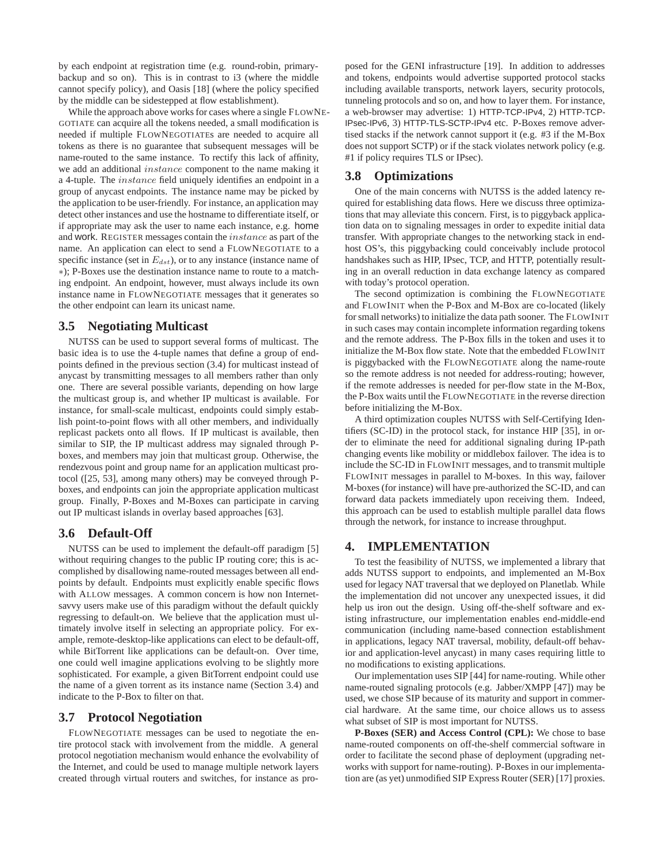by each endpoint at registration time (e.g. round-robin, primarybackup and so on). This is in contrast to i3 (where the middle cannot specify policy), and Oasis [18] (where the policy specified by the middle can be sidestepped at flow establishment).

While the approach above works for cases where a single FLOWNE-GOTIATE can acquire all the tokens needed, a small modification is needed if multiple FLOWNEGOTIATEs are needed to acquire all tokens as there is no guarantee that subsequent messages will be name-routed to the same instance. To rectify this lack of affinity, we add an additional *instance* component to the name making it a 4-tuple. The instance field uniquely identifies an endpoint in a group of anycast endpoints. The instance name may be picked by the application to be user-friendly. For instance, an application may detect other instances and use the hostname to differentiate itself, or if appropriate may ask the user to name each instance, e.g. home and work. REGISTER messages contain the instance as part of the name. An application can elect to send a FLOWNEGOTIATE to a specific instance (set in  $E_{dst}$ ), or to any instance (instance name of ∗); P-Boxes use the destination instance name to route to a matching endpoint. An endpoint, however, must always include its own instance name in FLOWNEGOTIATE messages that it generates so the other endpoint can learn its unicast name.

## **3.5 Negotiating Multicast**

NUTSS can be used to support several forms of multicast. The basic idea is to use the 4-tuple names that define a group of endpoints defined in the previous section (3.4) for multicast instead of anycast by transmitting messages to all members rather than only one. There are several possible variants, depending on how large the multicast group is, and whether IP multicast is available. For instance, for small-scale multicast, endpoints could simply establish point-to-point flows with all other members, and individually replicast packets onto all flows. If IP multicast is available, then similar to SIP, the IP multicast address may signaled through Pboxes, and members may join that multicast group. Otherwise, the rendezvous point and group name for an application multicast protocol ([25, 53], among many others) may be conveyed through Pboxes, and endpoints can join the appropriate application multicast group. Finally, P-Boxes and M-Boxes can participate in carving out IP multicast islands in overlay based approaches [63].

## **3.6 Default-Off**

NUTSS can be used to implement the default-off paradigm [5] without requiring changes to the public IP routing core; this is accomplished by disallowing name-routed messages between all endpoints by default. Endpoints must explicitly enable specific flows with ALLOW messages. A common concern is how non Internetsavvy users make use of this paradigm without the default quickly regressing to default-on. We believe that the application must ultimately involve itself in selecting an appropriate policy. For example, remote-desktop-like applications can elect to be default-off, while BitTorrent like applications can be default-on. Over time, one could well imagine applications evolving to be slightly more sophisticated. For example, a given BitTorrent endpoint could use the name of a given torrent as its instance name (Section 3.4) and indicate to the P-Box to filter on that.

## **3.7 Protocol Negotiation**

FLOWNEGOTIATE messages can be used to negotiate the entire protocol stack with involvement from the middle. A general protocol negotiation mechanism would enhance the evolvability of the Internet, and could be used to manage multiple network layers created through virtual routers and switches, for instance as proposed for the GENI infrastructure [19]. In addition to addresses and tokens, endpoints would advertise supported protocol stacks including available transports, network layers, security protocols, tunneling protocols and so on, and how to layer them. For instance, a web-browser may advertise: 1) HTTP-TCP-IPv4, 2) HTTP-TCP-IPsec-IPv6, 3) HTTP-TLS-SCTP-IPv4 etc. P-Boxes remove advertised stacks if the network cannot support it (e.g. #3 if the M-Box does not support SCTP) or if the stack violates network policy (e.g. #1 if policy requires TLS or IPsec).

## **3.8 Optimizations**

One of the main concerns with NUTSS is the added latency required for establishing data flows. Here we discuss three optimizations that may alleviate this concern. First, is to piggyback application data on to signaling messages in order to expedite initial data transfer. With appropriate changes to the networking stack in endhost OS's, this piggybacking could conceivably include protocol handshakes such as HIP, IPsec, TCP, and HTTP, potentially resulting in an overall reduction in data exchange latency as compared with today's protocol operation.

The second optimization is combining the FLOWNEGOTIATE and FLOWINIT when the P-Box and M-Box are co-located (likely for small networks) to initialize the data path sooner. The FLOWINIT in such cases may contain incomplete information regarding tokens and the remote address. The P-Box fills in the token and uses it to initialize the M-Box flow state. Note that the embedded FLOWINIT is piggybacked with the FLOWNEGOTIATE along the name-route so the remote address is not needed for address-routing; however, if the remote addresses is needed for per-flow state in the M-Box, the P-Box waits until the FLOWNEGOTIATE in the reverse direction before initializing the M-Box.

A third optimization couples NUTSS with Self-Certifying Identifiers (SC-ID) in the protocol stack, for instance HIP [35], in order to eliminate the need for additional signaling during IP-path changing events like mobility or middlebox failover. The idea is to include the SC-ID in FLOWINIT messages, and to transmit multiple FLOWINIT messages in parallel to M-boxes. In this way, failover M-boxes (for instance) will have pre-authorized the SC-ID, and can forward data packets immediately upon receiving them. Indeed, this approach can be used to establish multiple parallel data flows through the network, for instance to increase throughput.

## **4. IMPLEMENTATION**

To test the feasibility of NUTSS, we implemented a library that adds NUTSS support to endpoints, and implemented an M-Box used for legacy NAT traversal that we deployed on Planetlab. While the implementation did not uncover any unexpected issues, it did help us iron out the design. Using off-the-shelf software and existing infrastructure, our implementation enables end-middle-end communication (including name-based connection establishment in applications, legacy NAT traversal, mobility, default-off behavior and application-level anycast) in many cases requiring little to no modifications to existing applications.

Our implementation uses SIP [44] for name-routing. While other name-routed signaling protocols (e.g. Jabber/XMPP [47]) may be used, we chose SIP because of its maturity and support in commercial hardware. At the same time, our choice allows us to assess what subset of SIP is most important for NUTSS.

**P-Boxes (SER) and Access Control (CPL):** We chose to base name-routed components on off-the-shelf commercial software in order to facilitate the second phase of deployment (upgrading networks with support for name-routing). P-Boxes in our implementation are (as yet) unmodified SIP Express Router (SER) [17] proxies.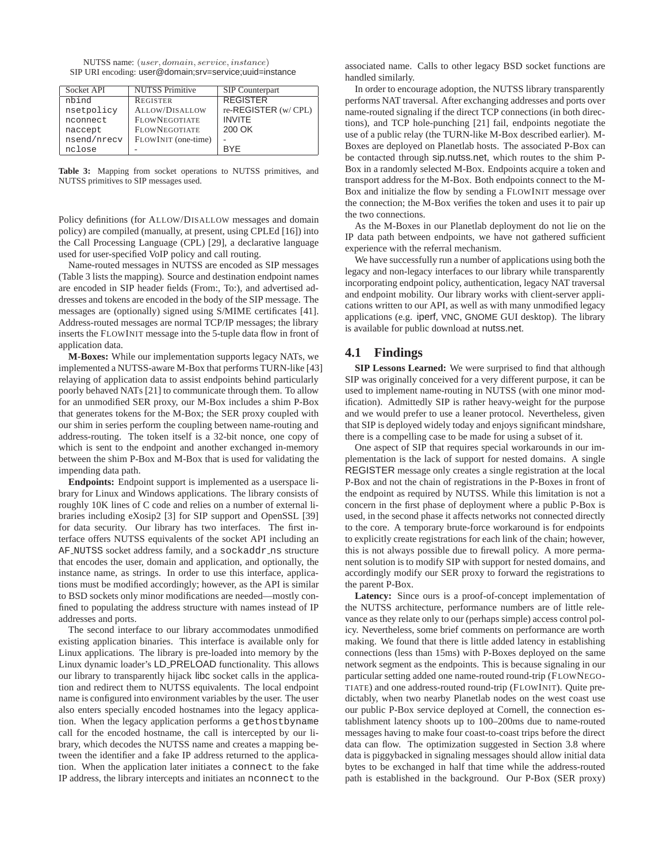NUTSS name: (user, domain, service, instance) SIP URI encoding: user@domain;srv=service;uuid=instance

| Socket API  | <b>NUTSS Primitive</b> | <b>SIP</b> Counterpart |
|-------------|------------------------|------------------------|
| nbind       | <b>REGISTER</b>        | <b>REGISTER</b>        |
| nsetpolicy  | <b>ALLOW/DISALLOW</b>  | re-REGISTER (w/CPL)    |
| nconnect    | <b>FLOWNEGOTIATE</b>   | <b>INVITE</b>          |
| naccept     | <b>FLOWNEGOTIATE</b>   | 200 OK                 |
| nsend/nrecv | FLOWINIT (one-time)    |                        |
| nclose      |                        | <b>RYF</b>             |

**Table 3:** Mapping from socket operations to NUTSS primitives, and NUTSS primitives to SIP messages used.

Policy definitions (for ALLOW/DISALLOW messages and domain policy) are compiled (manually, at present, using CPLEd [16]) into the Call Processing Language (CPL) [29], a declarative language used for user-specified VoIP policy and call routing.

Name-routed messages in NUTSS are encoded as SIP messages (Table 3 lists the mapping). Source and destination endpoint names are encoded in SIP header fields (From:, To:), and advertised addresses and tokens are encoded in the body of the SIP message. The messages are (optionally) signed using S/MIME certificates [41]. Address-routed messages are normal TCP/IP messages; the library inserts the FLOWINIT message into the 5-tuple data flow in front of application data.

**M-Boxes:** While our implementation supports legacy NATs, we implemented a NUTSS-aware M-Box that performs TURN-like [43] relaying of application data to assist endpoints behind particularly poorly behaved NATs [21] to communicate through them. To allow for an unmodified SER proxy, our M-Box includes a shim P-Box that generates tokens for the M-Box; the SER proxy coupled with our shim in series perform the coupling between name-routing and address-routing. The token itself is a 32-bit nonce, one copy of which is sent to the endpoint and another exchanged in-memory between the shim P-Box and M-Box that is used for validating the impending data path.

**Endpoints:** Endpoint support is implemented as a userspace library for Linux and Windows applications. The library consists of roughly 10K lines of C code and relies on a number of external libraries including eXosip2 [3] for SIP support and OpenSSL [39] for data security. Our library has two interfaces. The first interface offers NUTSS equivalents of the socket API including an AF NUTSS socket address family, and a sockaddr ns structure that encodes the user, domain and application, and optionally, the instance name, as strings. In order to use this interface, applications must be modified accordingly; however, as the API is similar to BSD sockets only minor modifications are needed—mostly confined to populating the address structure with names instead of IP addresses and ports.

The second interface to our library accommodates unmodified existing application binaries. This interface is available only for Linux applications. The library is pre-loaded into memory by the Linux dynamic loader's LD PRELOAD functionality. This allows our library to transparently hijack libc socket calls in the application and redirect them to NUTSS equivalents. The local endpoint name is configured into environment variables by the user. The user also enters specially encoded hostnames into the legacy application. When the legacy application performs a gethostbyname call for the encoded hostname, the call is intercepted by our library, which decodes the NUTSS name and creates a mapping between the identifier and a fake IP address returned to the application. When the application later initiates a connect to the fake IP address, the library intercepts and initiates an nconnect to the associated name. Calls to other legacy BSD socket functions are handled similarly.

In order to encourage adoption, the NUTSS library transparently performs NAT traversal. After exchanging addresses and ports over name-routed signaling if the direct TCP connections (in both directions), and TCP hole-punching [21] fail, endpoints negotiate the use of a public relay (the TURN-like M-Box described earlier). M-Boxes are deployed on Planetlab hosts. The associated P-Box can be contacted through sip.nutss.net, which routes to the shim P-Box in a randomly selected M-Box. Endpoints acquire a token and transport address for the M-Box. Both endpoints connect to the M-Box and initialize the flow by sending a FLOWINIT message over the connection; the M-Box verifies the token and uses it to pair up the two connections.

As the M-Boxes in our Planetlab deployment do not lie on the IP data path between endpoints, we have not gathered sufficient experience with the referral mechanism.

We have successfully run a number of applications using both the legacy and non-legacy interfaces to our library while transparently incorporating endpoint policy, authentication, legacy NAT traversal and endpoint mobility. Our library works with client-server applications written to our API, as well as with many unmodified legacy applications (e.g. iperf, VNC, GNOME GUI desktop). The library is available for public download at nutss.net.

## **4.1 Findings**

**SIP Lessons Learned:** We were surprised to find that although SIP was originally conceived for a very different purpose, it can be used to implement name-routing in NUTSS (with one minor modification). Admittedly SIP is rather heavy-weight for the purpose and we would prefer to use a leaner protocol. Nevertheless, given that SIP is deployed widely today and enjoys significant mindshare, there is a compelling case to be made for using a subset of it.

One aspect of SIP that requires special workarounds in our implementation is the lack of support for nested domains. A single REGISTER message only creates a single registration at the local P-Box and not the chain of registrations in the P-Boxes in front of the endpoint as required by NUTSS. While this limitation is not a concern in the first phase of deployment where a public P-Box is used, in the second phase it affects networks not connected directly to the core. A temporary brute-force workaround is for endpoints to explicitly create registrations for each link of the chain; however, this is not always possible due to firewall policy. A more permanent solution is to modify SIP with support for nested domains, and accordingly modify our SER proxy to forward the registrations to the parent P-Box.

**Latency:** Since ours is a proof-of-concept implementation of the NUTSS architecture, performance numbers are of little relevance as they relate only to our (perhaps simple) access control policy. Nevertheless, some brief comments on performance are worth making. We found that there is little added latency in establishing connections (less than 15ms) with P-Boxes deployed on the same network segment as the endpoints. This is because signaling in our particular setting added one name-routed round-trip (FLOWNEGO-TIATE) and one address-routed round-trip (FLOWINIT). Quite predictably, when two nearby Planetlab nodes on the west coast use our public P-Box service deployed at Cornell, the connection establishment latency shoots up to 100–200ms due to name-routed messages having to make four coast-to-coast trips before the direct data can flow. The optimization suggested in Section 3.8 where data is piggybacked in signaling messages should allow initial data bytes to be exchanged in half that time while the address-routed path is established in the background. Our P-Box (SER proxy)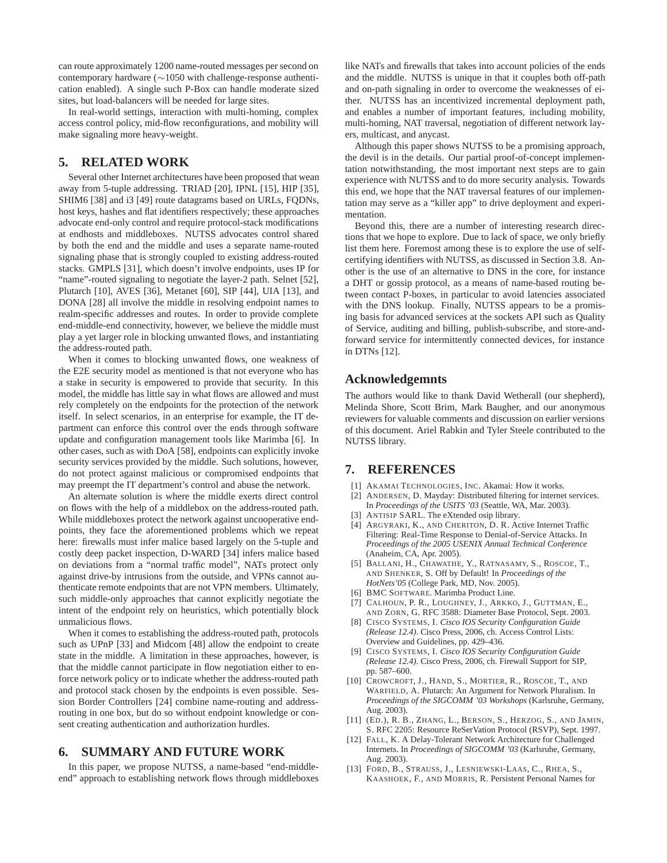can route approximately 1200 name-routed messages per second on contemporary hardware (∼1050 with challenge-response authentication enabled). A single such P-Box can handle moderate sized sites, but load-balancers will be needed for large sites.

In real-world settings, interaction with multi-homing, complex access control policy, mid-flow reconfigurations, and mobility will make signaling more heavy-weight.

# **5. RELATED WORK**

Several other Internet architectures have been proposed that wean away from 5-tuple addressing. TRIAD [20], IPNL [15], HIP [35], SHIM6 [38] and i3 [49] route datagrams based on URLs, FQDNs, host keys, hashes and flat identifiers respectively; these approaches advocate end-only control and require protocol-stack modifications at endhosts and middleboxes. NUTSS advocates control shared by both the end and the middle and uses a separate name-routed signaling phase that is strongly coupled to existing address-routed stacks. GMPLS [31], which doesn't involve endpoints, uses IP for "name"-routed signaling to negotiate the layer-2 path. Selnet [52], Plutarch [10], AVES [36], Metanet [60], SIP [44], UIA [13], and DONA [28] all involve the middle in resolving endpoint names to realm-specific addresses and routes. In order to provide complete end-middle-end connectivity, however, we believe the middle must play a yet larger role in blocking unwanted flows, and instantiating the address-routed path.

When it comes to blocking unwanted flows, one weakness of the E2E security model as mentioned is that not everyone who has a stake in security is empowered to provide that security. In this model, the middle has little say in what flows are allowed and must rely completely on the endpoints for the protection of the network itself. In select scenarios, in an enterprise for example, the IT department can enforce this control over the ends through software update and configuration management tools like Marimba [6]. In other cases, such as with DoA [58], endpoints can explicitly invoke security services provided by the middle. Such solutions, however, do not protect against malicious or compromised endpoints that may preempt the IT department's control and abuse the network.

An alternate solution is where the middle exerts direct control on flows with the help of a middlebox on the address-routed path. While middleboxes protect the network against uncooperative endpoints, they face the aforementioned problems which we repeat here: firewalls must infer malice based largely on the 5-tuple and costly deep packet inspection, D-WARD [34] infers malice based on deviations from a "normal traffic model", NATs protect only against drive-by intrusions from the outside, and VPNs cannot authenticate remote endpoints that are not VPN members. Ultimately, such middle-only approaches that cannot explicitly negotiate the intent of the endpoint rely on heuristics, which potentially block unmalicious flows.

When it comes to establishing the address-routed path, protocols such as UPnP [33] and Midcom [48] allow the endpoint to create state in the middle. A limitation in these approaches, however, is that the middle cannot participate in flow negotiation either to enforce network policy or to indicate whether the address-routed path and protocol stack chosen by the endpoints is even possible. Session Border Controllers [24] combine name-routing and addressrouting in one box, but do so without endpoint knowledge or consent creating authentication and authorization hurdles.

## **6. SUMMARY AND FUTURE WORK**

In this paper, we propose NUTSS, a name-based "end-middleend" approach to establishing network flows through middleboxes like NATs and firewalls that takes into account policies of the ends and the middle. NUTSS is unique in that it couples both off-path and on-path signaling in order to overcome the weaknesses of either. NUTSS has an incentivized incremental deployment path, and enables a number of important features, including mobility, multi-homing, NAT traversal, negotiation of different network layers, multicast, and anycast.

Although this paper shows NUTSS to be a promising approach, the devil is in the details. Our partial proof-of-concept implementation notwithstanding, the most important next steps are to gain experience with NUTSS and to do more security analysis. Towards this end, we hope that the NAT traversal features of our implementation may serve as a "killer app" to drive deployment and experimentation.

Beyond this, there are a number of interesting research directions that we hope to explore. Due to lack of space, we only briefly list them here. Foremost among these is to explore the use of selfcertifying identifiers with NUTSS, as discussed in Section 3.8. Another is the use of an alternative to DNS in the core, for instance a DHT or gossip protocol, as a means of name-based routing between contact P-boxes, in particular to avoid latencies associated with the DNS lookup. Finally, NUTSS appears to be a promising basis for advanced services at the sockets API such as Quality of Service, auditing and billing, publish-subscribe, and store-andforward service for intermittently connected devices, for instance in DTNs [12].

## **Acknowledgemnts**

The authors would like to thank David Wetherall (our shepherd), Melinda Shore, Scott Brim, Mark Baugher, and our anonymous reviewers for valuable comments and discussion on earlier versions of this document. Ariel Rabkin and Tyler Steele contributed to the NUTSS library.

## **7. REFERENCES**

- [1] AKAMAI TECHNOLOGIES, INC. Akamai: How it works.
- [2] ANDERSEN, D. Mayday: Distributed filtering for internet services. In *Proceedings of the USITS '03* (Seattle, WA, Mar. 2003).
- [3] ANTISIP SARL. The eXtended osip library.
- [4] ARGYRAKI, K., AND CHERITON, D. R. Active Internet Traffic Filtering: Real-Time Response to Denial-of-Service Attacks. In *Proceedings of the 2005 USENIX Annual Technical Conference* (Anaheim, CA, Apr. 2005).
- [5] BALLANI, H., CHAWATHE, Y., RATNASAMY, S., ROSCOE, T., AND SHENKER, S. Off by Default! In *Proceedings of the HotNets'05* (College Park, MD, Nov. 2005).
- [6] BMC SOFTWARE. Marimba Product Line.
- [7] CALHOUN, P. R., LOUGHNEY, J., ARKKO, J., GUTTMAN, E., AND ZORN, G. RFC 3588: Diameter Base Protocol, Sept. 2003.
- [8] CISCO SYSTEMS, I. *Cisco IOS Security Configuration Guide (Release 12.4)*. Cisco Press, 2006, ch. Access Control Lists: Overview and Guidelines, pp. 429–436.
- [9] CISCO SYSTEMS, I. *Cisco IOS Security Configuration Guide (Release 12.4)*. Cisco Press, 2006, ch. Firewall Support for SIP, pp. 587–600.
- [10] CROWCROFT, J., HAND, S., MORTIER, R., ROSCOE, T., AND WARFIELD, A. Plutarch: An Argument for Network Pluralism. In *Proceedings of the SIGCOMM '03 Workshops* (Karlsruhe, Germany, Aug. 2003).
- [11] (ED.), R. B., ZHANG, L., BERSON, S., HERZOG, S., AND JAMIN, S. RFC 2205: Resource ReSerVation Protocol (RSVP), Sept. 1997.
- [12] FALL, K. A Delay-Tolerant Network Architecture for Challenged Internets. In *Proceedings of SIGCOMM '03* (Karlsruhe, Germany, Aug. 2003).
- [13] FORD, B., STRAUSS, J., LESNIEWSKI-LAAS, C., RHEA, S., KAASHOEK, F., AND MORRIS, R. Persistent Personal Names for